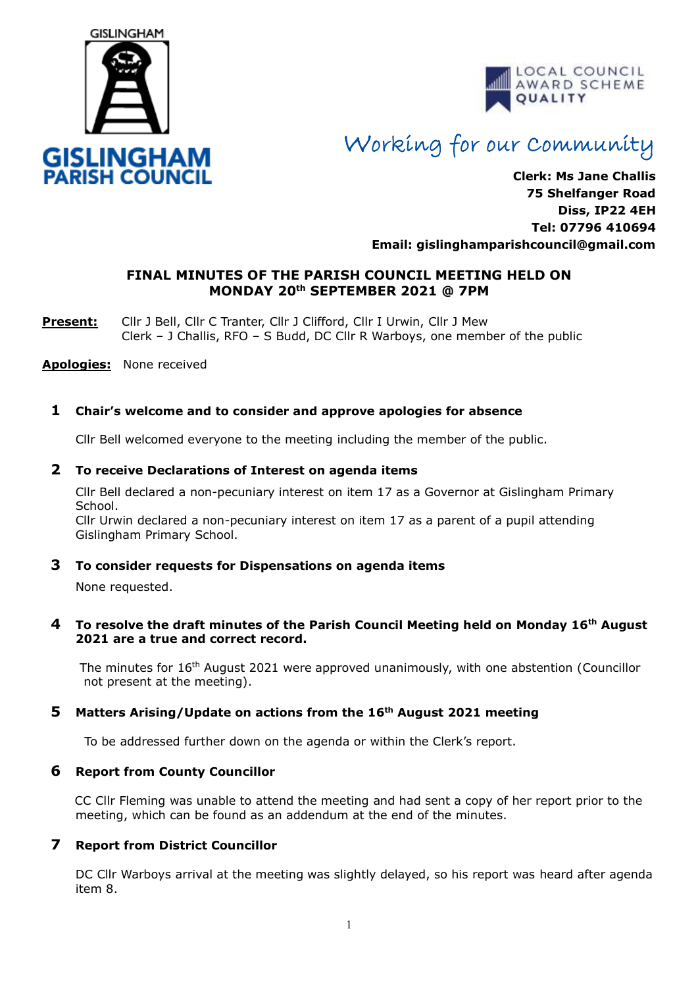



# Working for our Community

**Clerk: Ms Jane Challis 75 Shelfanger Road Diss, IP22 4EH Tel: 07796 410694 Email: [gislinghamparishcouncil@gmail.com](mailto:gislinghamparishcouncil@gmail.com)**

### **FINAL MINUTES OF THE PARISH COUNCIL MEETING HELD ON MONDAY 20th SEPTEMBER 2021 @ 7PM**

**Present:** Cllr J Bell, Cllr C Tranter, Cllr J Clifford, Cllr I Urwin, Cllr J Mew Clerk – J Challis, RFO – S Budd, DC Cllr R Warboys, one member of the public

**Apologies:** None received

#### **1 Chair's welcome and to consider and approve apologies for absence**

Cllr Bell welcomed everyone to the meeting including the member of the public.

#### **2 To receive Declarations of Interest on agenda items**

 Cllr Bell declared a non-pecuniary interest on item 17 as a Governor at Gislingham Primary School.

Cllr Urwin declared a non-pecuniary interest on item 17 as a parent of a pupil attending Gislingham Primary School.

#### **3 To consider requests for Dispensations on agenda items**

None requested.

#### **4 To resolve the draft minutes of the Parish Council Meeting held on Monday 16th August 2021 are a true and correct record.**

The minutes for 16<sup>th</sup> August 2021 were approved unanimously, with one abstention (Councillor not present at the meeting).

#### **5 Matters Arising/Update on actions from the 16th August 2021 meeting**

To be addressed further down on the agenda or within the Clerk's report.

#### **6 Report from County Councillor**

CC Cllr Fleming was unable to attend the meeting and had sent a copy of her report prior to the meeting, which can be found as an addendum at the end of the minutes.

#### **7 Report from District Councillor**

DC Cllr Warboys arrival at the meeting was slightly delayed, so his report was heard after agenda item 8.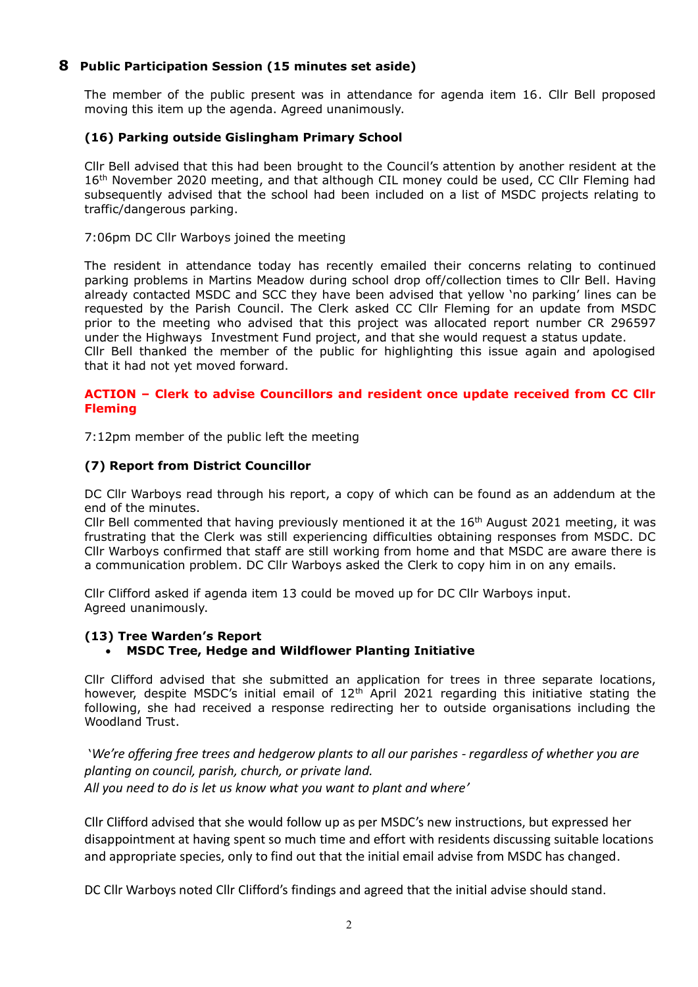#### **8 Public Participation Session (15 minutes set aside)**

The member of the public present was in attendance for agenda item 16. Cllr Bell proposed moving this item up the agenda. Agreed unanimously.

#### **(16) Parking outside Gislingham Primary School**

Cllr Bell advised that this had been brought to the Council's attention by another resident at the 16<sup>th</sup> November 2020 meeting, and that although CIL money could be used, CC Cllr Fleming had subsequently advised that the school had been included on a list of MSDC projects relating to traffic/dangerous parking.

#### 7:06pm DC Cllr Warboys joined the meeting

The resident in attendance today has recently emailed their concerns relating to continued parking problems in Martins Meadow during school drop off/collection times to Cllr Bell. Having already contacted MSDC and SCC they have been advised that yellow 'no parking' lines can be requested by the Parish Council. The Clerk asked CC Cllr Fleming for an update from MSDC prior to the meeting who advised that this project was allocated report number CR 296597 under the Highways Investment Fund project, and that she would request a status update. Cllr Bell thanked the member of the public for highlighting this issue again and apologised that it had not yet moved forward.

#### **ACTION – Clerk to advise Councillors and resident once update received from CC Cllr Fleming**

7:12pm member of the public left the meeting

#### **(7) Report from District Councillor**

DC Cllr Warboys read through his report, a copy of which can be found as an addendum at the end of the minutes.

Cllr Bell commented that having previously mentioned it at the  $16<sup>th</sup>$  August 2021 meeting, it was frustrating that the Clerk was still experiencing difficulties obtaining responses from MSDC. DC Cllr Warboys confirmed that staff are still working from home and that MSDC are aware there is a communication problem. DC Cllr Warboys asked the Clerk to copy him in on any emails.

Cllr Clifford asked if agenda item 13 could be moved up for DC Cllr Warboys input. Agreed unanimously.

#### **(13) Tree Warden's Report**

#### • **MSDC Tree, Hedge and Wildflower Planting Initiative**

Cllr Clifford advised that she submitted an application for trees in three separate locations, however, despite MSDC's initial email of  $12<sup>th</sup>$  April 2021 regarding this initiative stating the following, she had received a response redirecting her to outside organisations including the Woodland Trust.

'*We're offering free trees and hedgerow plants to all our parishes - regardless of whether you are planting on council, parish, church, or private land. All you need to do is let us know what you want to plant and where'*

Cllr Clifford advised that she would follow up as per MSDC's new instructions, but expressed her disappointment at having spent so much time and effort with residents discussing suitable locations and appropriate species, only to find out that the initial email advise from MSDC has changed.

DC Cllr Warboys noted Cllr Clifford's findings and agreed that the initial advise should stand.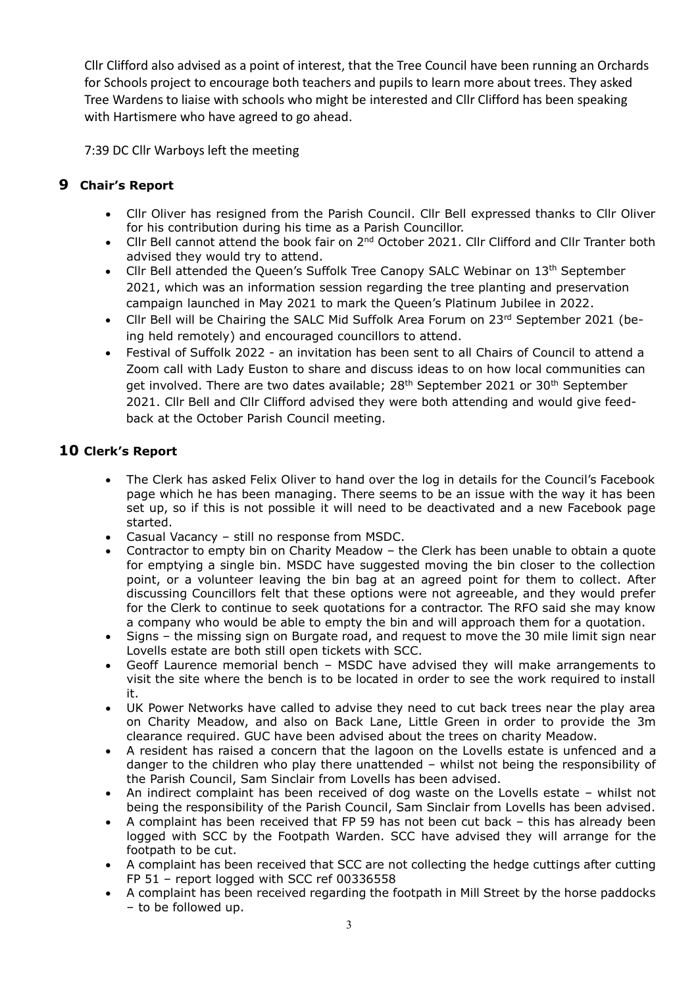Cllr Clifford also advised as a point of interest, that the Tree Council have been running an Orchards for Schools project to encourage both teachers and pupils to learn more about trees. They asked Tree Wardens to liaise with schools who might be interested and Cllr Clifford has been speaking with Hartismere who have agreed to go ahead.

7:39 DC Cllr Warboys left the meeting

# **9 Chair's Report**

- Cllr Oliver has resigned from the Parish Council. Cllr Bell expressed thanks to Cllr Oliver for his contribution during his time as a Parish Councillor.
- Cllr Bell cannot attend the book fair on 2<sup>nd</sup> October 2021. Cllr Clifford and Cllr Tranter both advised they would try to attend.
- Cllr Bell attended the Queen's Suffolk Tree Canopy SALC Webinar on 13<sup>th</sup> September 2021, which was an information session regarding the tree planting and preservation campaign launched in May 2021 to mark the Queen's Platinum Jubilee in 2022.
- Cllr Bell will be Chairing the SALC Mid Suffolk Area Forum on 23rd September 2021 (being held remotely) and encouraged councillors to attend.
- Festival of Suffolk 2022 an invitation has been sent to all Chairs of Council to attend a Zoom call with Lady Euston to share and discuss ideas to on how local communities can get involved. There are two dates available; 28<sup>th</sup> September 2021 or 30<sup>th</sup> September 2021. Cllr Bell and Cllr Clifford advised they were both attending and would give feedback at the October Parish Council meeting.

# **10 Clerk's Report**

- The Clerk has asked Felix Oliver to hand over the log in details for the Council's Facebook page which he has been managing. There seems to be an issue with the way it has been set up, so if this is not possible it will need to be deactivated and a new Facebook page started.
- Casual Vacancy still no response from MSDC.
- Contractor to empty bin on Charity Meadow the Clerk has been unable to obtain a quote for emptying a single bin. MSDC have suggested moving the bin closer to the collection point, or a volunteer leaving the bin bag at an agreed point for them to collect. After discussing Councillors felt that these options were not agreeable, and they would prefer for the Clerk to continue to seek quotations for a contractor. The RFO said she may know a company who would be able to empty the bin and will approach them for a quotation.
- Signs the missing sign on Burgate road, and request to move the 30 mile limit sign near Lovells estate are both still open tickets with SCC.
- Geoff Laurence memorial bench MSDC have advised they will make arrangements to visit the site where the bench is to be located in order to see the work required to install it.
- UK Power Networks have called to advise they need to cut back trees near the play area on Charity Meadow, and also on Back Lane, Little Green in order to provide the 3m clearance required. GUC have been advised about the trees on charity Meadow.
- A resident has raised a concern that the lagoon on the Lovells estate is unfenced and a danger to the children who play there unattended – whilst not being the responsibility of the Parish Council, Sam Sinclair from Lovells has been advised.
- An indirect complaint has been received of dog waste on the Lovells estate whilst not being the responsibility of the Parish Council, Sam Sinclair from Lovells has been advised.
- A complaint has been received that FP 59 has not been cut back this has already been logged with SCC by the Footpath Warden. SCC have advised they will arrange for the footpath to be cut.
- A complaint has been received that SCC are not collecting the hedge cuttings after cutting FP 51 – report logged with SCC ref 00336558
- A complaint has been received regarding the footpath in Mill Street by the horse paddocks – to be followed up.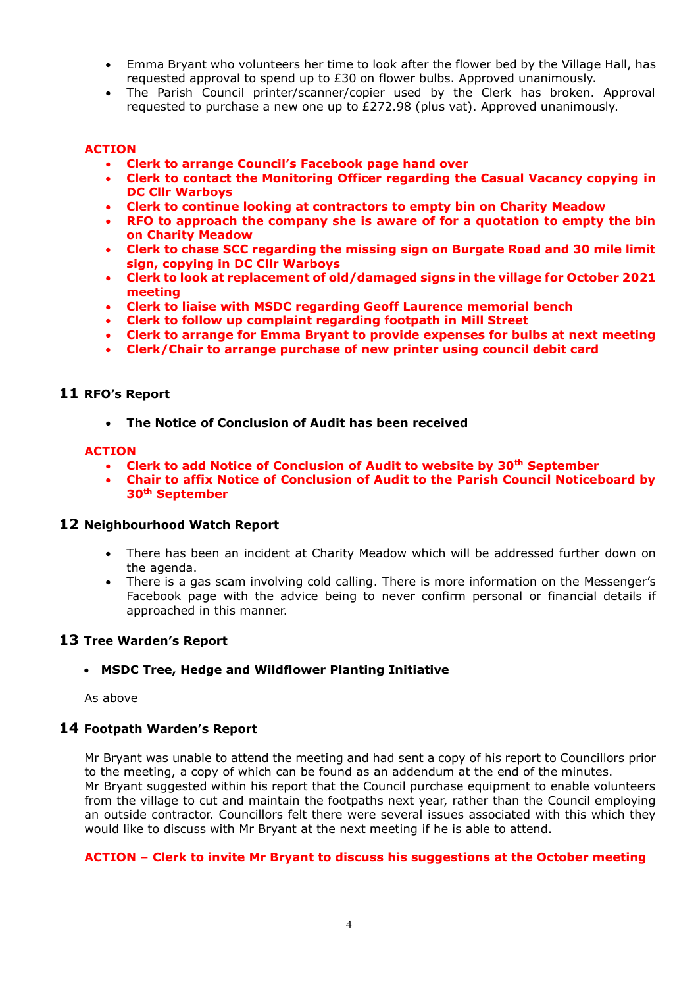- Emma Bryant who volunteers her time to look after the flower bed by the Village Hall, has requested approval to spend up to £30 on flower bulbs. Approved unanimously.
- The Parish Council printer/scanner/copier used by the Clerk has broken. Approval requested to purchase a new one up to £272.98 (plus vat). Approved unanimously.

#### **ACTION**

- **Clerk to arrange Council's Facebook page hand over**
- **Clerk to contact the Monitoring Officer regarding the Casual Vacancy copying in DC Cllr Warboys**
- **Clerk to continue looking at contractors to empty bin on Charity Meadow**
- **RFO to approach the company she is aware of for a quotation to empty the bin on Charity Meadow**
- **Clerk to chase SCC regarding the missing sign on Burgate Road and 30 mile limit sign, copying in DC Cllr Warboys**
- **Clerk to look at replacement of old/damaged signs in the village for October 2021 meeting**
- **Clerk to liaise with MSDC regarding Geoff Laurence memorial bench**
- **Clerk to follow up complaint regarding footpath in Mill Street**
- **Clerk to arrange for Emma Bryant to provide expenses for bulbs at next meeting**
- **Clerk/Chair to arrange purchase of new printer using council debit card**

#### **11 RFO's Report**

• **The Notice of Conclusion of Audit has been received**

#### **ACTION**

- **Clerk to add Notice of Conclusion of Audit to website by 30th September**
- **Chair to affix Notice of Conclusion of Audit to the Parish Council Noticeboard by 30th September**

#### **12 Neighbourhood Watch Report**

- There has been an incident at Charity Meadow which will be addressed further down on the agenda.
- There is a gas scam involving cold calling. There is more information on the Messenger's Facebook page with the advice being to never confirm personal or financial details if approached in this manner.

#### **13 Tree Warden's Report**

#### • **MSDC Tree, Hedge and Wildflower Planting Initiative**

As above

#### **14 Footpath Warden's Report**

Mr Bryant was unable to attend the meeting and had sent a copy of his report to Councillors prior to the meeting, a copy of which can be found as an addendum at the end of the minutes. Mr Bryant suggested within his report that the Council purchase equipment to enable volunteers from the village to cut and maintain the footpaths next year, rather than the Council employing an outside contractor. Councillors felt there were several issues associated with this which they would like to discuss with Mr Bryant at the next meeting if he is able to attend.

#### **ACTION – Clerk to invite Mr Bryant to discuss his suggestions at the October meeting**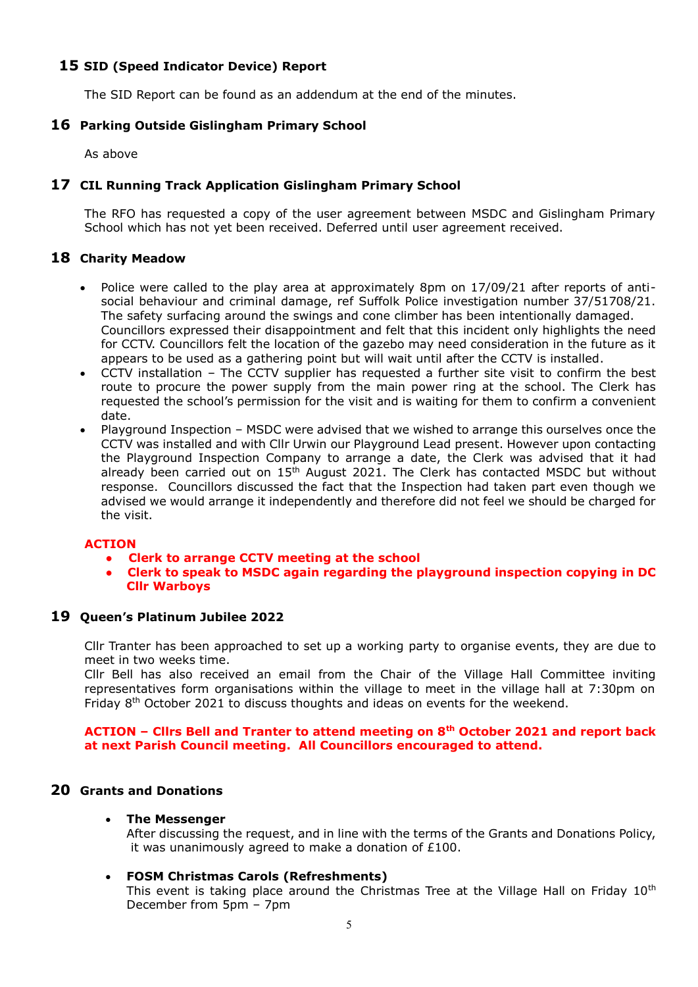#### **15 SID (Speed Indicator Device) Report**

The SID Report can be found as an addendum at the end of the minutes.

#### **16 Parking Outside Gislingham Primary School**

As above

#### **17 CIL Running Track Application Gislingham Primary School**

The RFO has requested a copy of the user agreement between MSDC and Gislingham Primary School which has not yet been received. Deferred until user agreement received.

#### **18 Charity Meadow**

- Police were called to the play area at approximately 8pm on 17/09/21 after reports of antisocial behaviour and criminal damage, ref Suffolk Police investigation number 37/51708/21. The safety surfacing around the swings and cone climber has been intentionally damaged. Councillors expressed their disappointment and felt that this incident only highlights the need for CCTV. Councillors felt the location of the gazebo may need consideration in the future as it appears to be used as a gathering point but will wait until after the CCTV is installed.
- CCTV installation The CCTV supplier has requested a further site visit to confirm the best route to procure the power supply from the main power ring at the school. The Clerk has requested the school's permission for the visit and is waiting for them to confirm a convenient date.
- Playground Inspection MSDC were advised that we wished to arrange this ourselves once the CCTV was installed and with Cllr Urwin our Playground Lead present. However upon contacting the Playground Inspection Company to arrange a date, the Clerk was advised that it had already been carried out on  $15<sup>th</sup>$  August 2021. The Clerk has contacted MSDC but without response. Councillors discussed the fact that the Inspection had taken part even though we advised we would arrange it independently and therefore did not feel we should be charged for the visit.

#### **ACTION**

- **Clerk to arrange CCTV meeting at the school**
- **Clerk to speak to MSDC again regarding the playground inspection copying in DC Cllr Warboys**

#### **19 Queen's Platinum Jubilee 2022**

Cllr Tranter has been approached to set up a working party to organise events, they are due to meet in two weeks time.

Cllr Bell has also received an email from the Chair of the Village Hall Committee inviting representatives form organisations within the village to meet in the village hall at 7:30pm on Friday 8<sup>th</sup> October 2021 to discuss thoughts and ideas on events for the weekend.

#### **ACTION – Cllrs Bell and Tranter to attend meeting on 8th October 2021 and report back at next Parish Council meeting. All Councillors encouraged to attend.**

#### **20 Grants and Donations**

#### • **The Messenger**

After discussing the request, and in line with the terms of the Grants and Donations Policy, it was unanimously agreed to make a donation of £100.

#### • **FOSM Christmas Carols (Refreshments)**

This event is taking place around the Christmas Tree at the Village Hall on Friday 10<sup>th</sup> December from 5pm – 7pm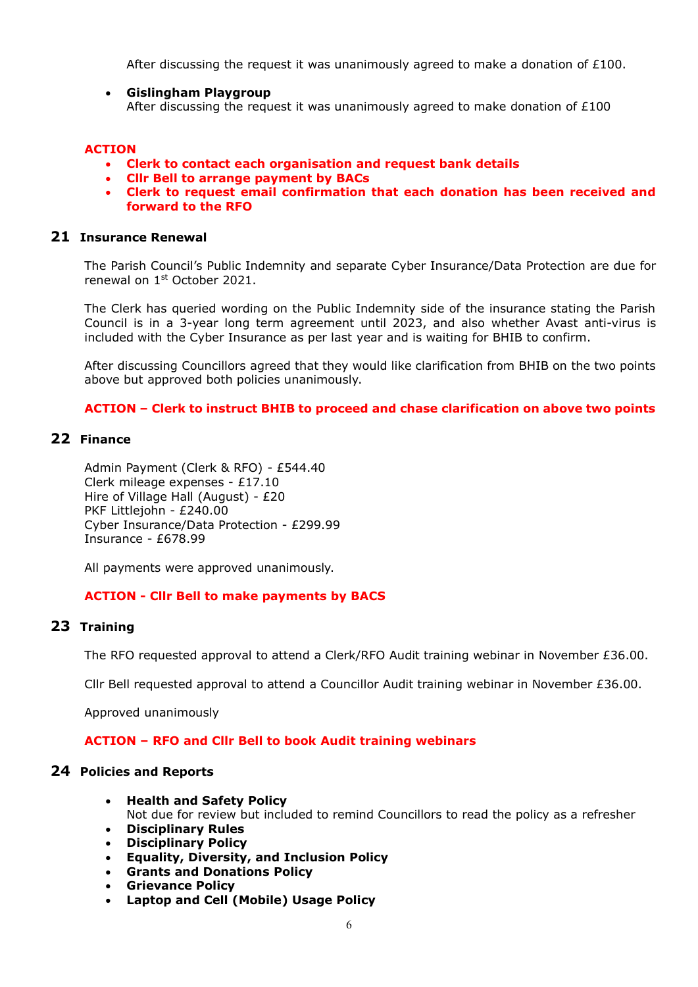After discussing the request it was unanimously agreed to make a donation of  $£100$ .

• **Gislingham Playgroup** After discussing the request it was unanimously agreed to make donation of  $£100$ 

#### **ACTION**

- **Clerk to contact each organisation and request bank details**
- **Cllr Bell to arrange payment by BACs**
- **Clerk to request email confirmation that each donation has been received and forward to the RFO**

#### **21 Insurance Renewal**

The Parish Council's Public Indemnity and separate Cyber Insurance/Data Protection are due for renewal on 1st October 2021.

The Clerk has queried wording on the Public Indemnity side of the insurance stating the Parish Council is in a 3-year long term agreement until 2023, and also whether Avast anti-virus is included with the Cyber Insurance as per last year and is waiting for BHIB to confirm.

After discussing Councillors agreed that they would like clarification from BHIB on the two points above but approved both policies unanimously.

#### **ACTION – Clerk to instruct BHIB to proceed and chase clarification on above two points**

## **22 Finance**

Admin Payment (Clerk & RFO) - £544.40 Clerk mileage expenses - £17.10 Hire of Village Hall (August) - £20 PKF Littlejohn - £240.00 Cyber Insurance/Data Protection - £299.99 Insurance - £678.99

All payments were approved unanimously.

#### **ACTION - Cllr Bell to make payments by BACS**

#### **23 Training**

The RFO requested approval to attend a Clerk/RFO Audit training webinar in November £36.00.

Cllr Bell requested approval to attend a Councillor Audit training webinar in November £36.00.

Approved unanimously

#### **ACTION – RFO and Cllr Bell to book Audit training webinars**

#### **24 Policies and Reports**

- **Health and Safety Policy** Not due for review but included to remind Councillors to read the policy as a refresher
- **Disciplinary Rules**
- **Disciplinary Policy**
- **Equality, Diversity, and Inclusion Policy**
- **Grants and Donations Policy**
- **Grievance Policy**
- **Laptop and Cell (Mobile) Usage Policy**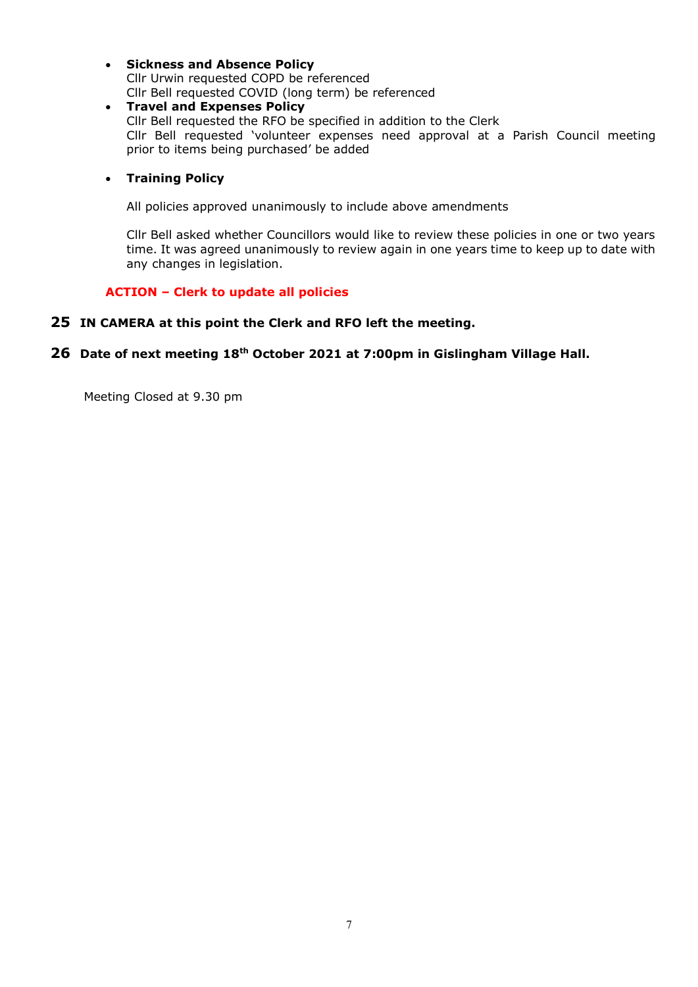#### • **Sickness and Absence Policy** Cllr Urwin requested COPD be referenced Cllr Bell requested COVID (long term) be referenced

• **Travel and Expenses Policy** Cllr Bell requested the RFO be specified in addition to the Clerk Cllr Bell requested 'volunteer expenses need approval at a Parish Council meeting prior to items being purchased' be added

#### • **Training Policy**

All policies approved unanimously to include above amendments

Cllr Bell asked whether Councillors would like to review these policies in one or two years time. It was agreed unanimously to review again in one years time to keep up to date with any changes in legislation.

#### **ACTION – Clerk to update all policies**

#### **25 IN CAMERA at this point the Clerk and RFO left the meeting.**

#### **26 Date of next meeting 18th October 2021 at 7:00pm in Gislingham Village Hall.**

Meeting Closed at 9.30 pm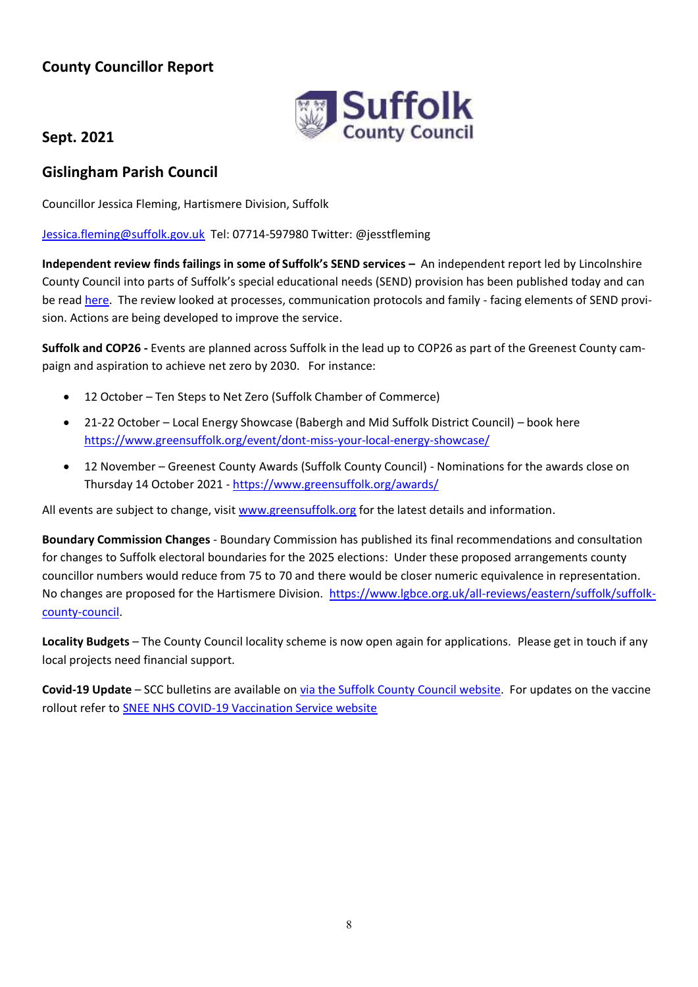# **County Councillor Report**



# **Sept. 2021**

# **Gislingham Parish Council**

Councillor Jessica Fleming, Hartismere Division, Suffolk

[Jessica.fleming@suffolk.gov.uk](mailto:Jessica.fleming@suffolk.gov.uk) Tel: 07714-597980 Twitter: @jesstfleming

**Independent review finds failings in some of Suffolk's SEND services –** An independent report led by Lincolnshire County Council into parts of Suffolk's special educational needs (SEND) provision has been published today and can be read [here.](file://///euser/scc/GPOFOLDERS/flemj/My%20Documents/Parishes/www.suffolk.gov.uk/children-families-and-learning/send-and-the-local-offer/independent-send-review-september-2021) The review looked at processes, communication protocols and family - facing elements of SEND provision. Actions are being developed to improve the service.

**Suffolk and COP26 -** Events are planned across Suffolk in the lead up to COP26 as part of the Greenest County campaign and aspiration to achieve net zero by 2030. For instance:

- 12 October Ten Steps to Net Zero (Suffolk Chamber of Commerce)
- 21-22 October Local Energy Showcase (Babergh and Mid Suffolk District Council) book here <https://www.greensuffolk.org/event/dont-miss-your-local-energy-showcase/>
- 12 November Greenest County Awards (Suffolk County Council) Nominations for the awards close on Thursday 14 October 2021 - <https://www.greensuffolk.org/awards/>

All events are subject to change, visi[t www.greensuffolk.org](http://www.greensuffolk.org/) for the latest details and information.

**Boundary Commission Changes** - Boundary Commission has published its final recommendations and consultation for changes to Suffolk electoral boundaries for the 2025 elections: Under these proposed arrangements county councillor numbers would reduce from 75 to 70 and there would be closer numeric equivalence in representation. No changes are proposed for the Hartismere Division. [https://www.lgbce.org.uk/all-reviews/eastern/suffolk/suffolk](https://www.lgbce.org.uk/all-reviews/eastern/suffolk/suffolk-county-council)[county-council.](https://www.lgbce.org.uk/all-reviews/eastern/suffolk/suffolk-county-council)

**Locality Budgets** – The County Council locality scheme is now open again for applications. Please get in touch if any local projects need financial support.

**Covid-19 Update** – SCC bulletins are available on [via the Suffolk County Council website.](https://www.suffolk.gov.uk/coronavirus-covid-19/suffolks-response/suffolk-coronawatch-bulletin/) For updates on the vaccine rollout refer to [SNEE NHS COVID-19 Vaccination Service website](https://sneevaccine.org.uk/)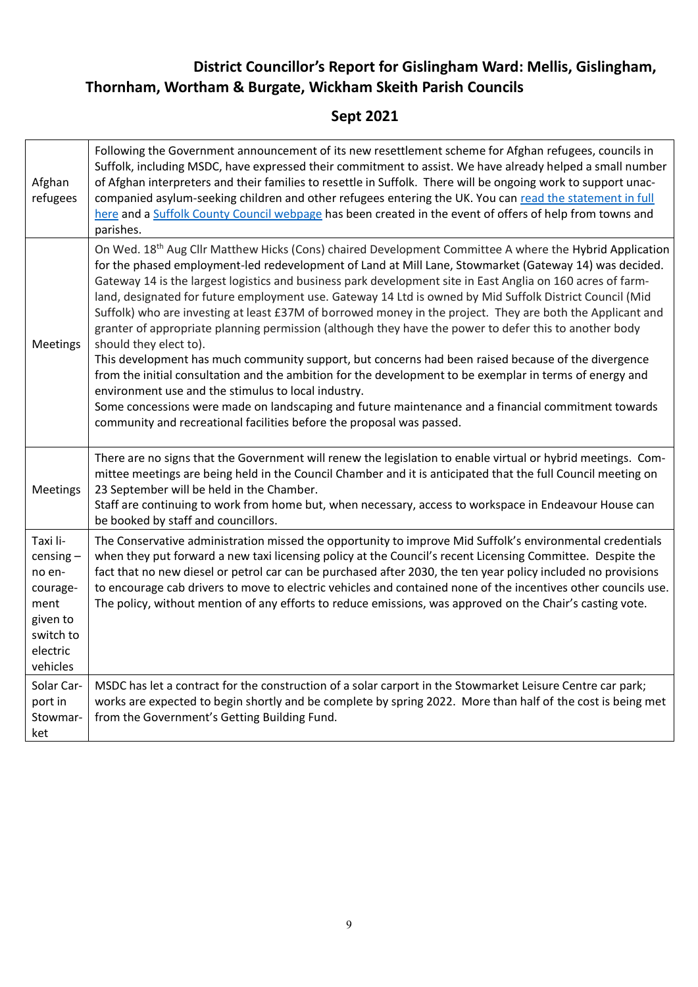# **District Councillor's Report for Gislingham Ward: Mellis, Gislingham, Thornham, Wortham & Burgate, Wickham Skeith Parish Councils**

# **Sept 2021**

| Afghan<br>refugees                                                                                     | Following the Government announcement of its new resettlement scheme for Afghan refugees, councils in<br>Suffolk, including MSDC, have expressed their commitment to assist. We have already helped a small number<br>of Afghan interpreters and their families to resettle in Suffolk. There will be ongoing work to support unac-<br>companied asylum-seeking children and other refugees entering the UK. You can read the statement in full<br>here and a Suffolk County Council webpage has been created in the event of offers of help from towns and<br>parishes.                                                                                                                                                                                                                                                                                                                                                                                                                                                                                                                                                                                             |
|--------------------------------------------------------------------------------------------------------|----------------------------------------------------------------------------------------------------------------------------------------------------------------------------------------------------------------------------------------------------------------------------------------------------------------------------------------------------------------------------------------------------------------------------------------------------------------------------------------------------------------------------------------------------------------------------------------------------------------------------------------------------------------------------------------------------------------------------------------------------------------------------------------------------------------------------------------------------------------------------------------------------------------------------------------------------------------------------------------------------------------------------------------------------------------------------------------------------------------------------------------------------------------------|
| Meetings                                                                                               | On Wed. 18 <sup>th</sup> Aug Cllr Matthew Hicks (Cons) chaired Development Committee A where the Hybrid Application<br>for the phased employment-led redevelopment of Land at Mill Lane, Stowmarket (Gateway 14) was decided.<br>Gateway 14 is the largest logistics and business park development site in East Anglia on 160 acres of farm-<br>land, designated for future employment use. Gateway 14 Ltd is owned by Mid Suffolk District Council (Mid<br>Suffolk) who are investing at least £37M of borrowed money in the project. They are both the Applicant and<br>granter of appropriate planning permission (although they have the power to defer this to another body<br>should they elect to).<br>This development has much community support, but concerns had been raised because of the divergence<br>from the initial consultation and the ambition for the development to be exemplar in terms of energy and<br>environment use and the stimulus to local industry.<br>Some concessions were made on landscaping and future maintenance and a financial commitment towards<br>community and recreational facilities before the proposal was passed. |
| Meetings                                                                                               | There are no signs that the Government will renew the legislation to enable virtual or hybrid meetings. Com-<br>mittee meetings are being held in the Council Chamber and it is anticipated that the full Council meeting on<br>23 September will be held in the Chamber.<br>Staff are continuing to work from home but, when necessary, access to workspace in Endeavour House can<br>be booked by staff and councillors.                                                                                                                                                                                                                                                                                                                                                                                                                                                                                                                                                                                                                                                                                                                                           |
| Taxi li-<br>$censing -$<br>no en-<br>courage-<br>ment<br>given to<br>switch to<br>electric<br>vehicles | The Conservative administration missed the opportunity to improve Mid Suffolk's environmental credentials<br>when they put forward a new taxi licensing policy at the Council's recent Licensing Committee. Despite the<br>fact that no new diesel or petrol car can be purchased after 2030, the ten year policy included no provisions<br>to encourage cab drivers to move to electric vehicles and contained none of the incentives other councils use.<br>The policy, without mention of any efforts to reduce emissions, was approved on the Chair's casting vote.                                                                                                                                                                                                                                                                                                                                                                                                                                                                                                                                                                                              |
| Solar Car-<br>port in<br>Stowmar-<br>ket                                                               | MSDC has let a contract for the construction of a solar carport in the Stowmarket Leisure Centre car park;<br>works are expected to begin shortly and be complete by spring 2022. More than half of the cost is being met<br>from the Government's Getting Building Fund.                                                                                                                                                                                                                                                                                                                                                                                                                                                                                                                                                                                                                                                                                                                                                                                                                                                                                            |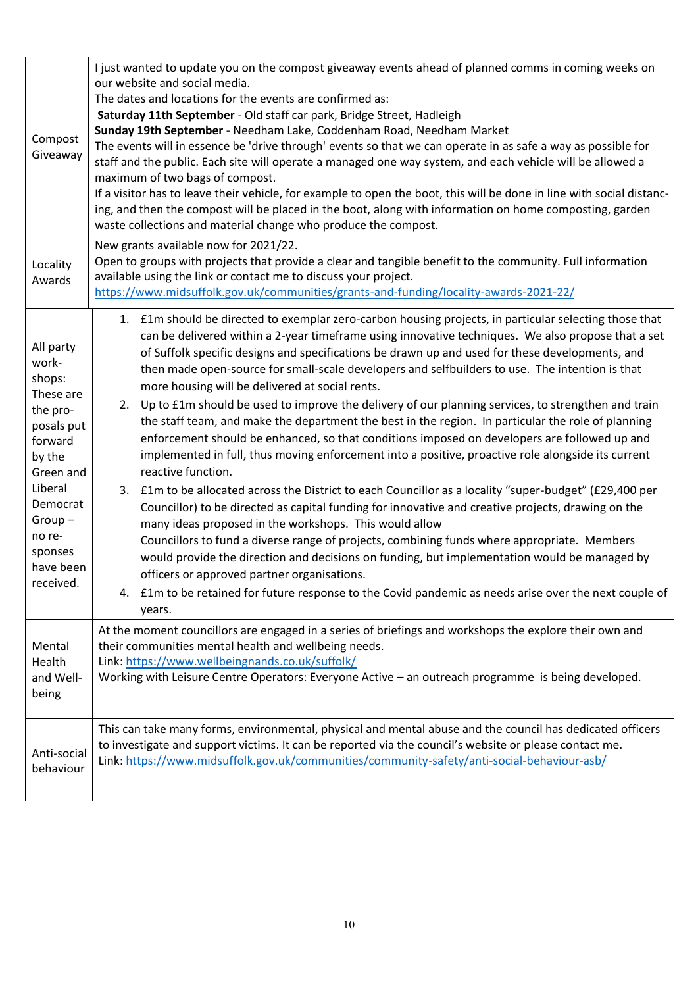| Compost<br>Giveaway                                                                                                                                                                     | I just wanted to update you on the compost giveaway events ahead of planned comms in coming weeks on<br>our website and social media.<br>The dates and locations for the events are confirmed as:<br>Saturday 11th September - Old staff car park, Bridge Street, Hadleigh<br>Sunday 19th September - Needham Lake, Coddenham Road, Needham Market<br>The events will in essence be 'drive through' events so that we can operate in as safe a way as possible for<br>staff and the public. Each site will operate a managed one way system, and each vehicle will be allowed a<br>maximum of two bags of compost.<br>If a visitor has to leave their vehicle, for example to open the boot, this will be done in line with social distanc-<br>ing, and then the compost will be placed in the boot, along with information on home composting, garden<br>waste collections and material change who produce the compost.                                                                                                                                                                                                                                                                                                                                                                                                                                                                                                                                                                                                                                      |
|-----------------------------------------------------------------------------------------------------------------------------------------------------------------------------------------|---------------------------------------------------------------------------------------------------------------------------------------------------------------------------------------------------------------------------------------------------------------------------------------------------------------------------------------------------------------------------------------------------------------------------------------------------------------------------------------------------------------------------------------------------------------------------------------------------------------------------------------------------------------------------------------------------------------------------------------------------------------------------------------------------------------------------------------------------------------------------------------------------------------------------------------------------------------------------------------------------------------------------------------------------------------------------------------------------------------------------------------------------------------------------------------------------------------------------------------------------------------------------------------------------------------------------------------------------------------------------------------------------------------------------------------------------------------------------------------------------------------------------------------------------------------|
| Locality<br>Awards                                                                                                                                                                      | New grants available now for 2021/22.<br>Open to groups with projects that provide a clear and tangible benefit to the community. Full information<br>available using the link or contact me to discuss your project.<br>https://www.midsuffolk.gov.uk/communities/grants-and-funding/locality-awards-2021-22/                                                                                                                                                                                                                                                                                                                                                                                                                                                                                                                                                                                                                                                                                                                                                                                                                                                                                                                                                                                                                                                                                                                                                                                                                                                |
| All party<br>work-<br>shops:<br>These are<br>the pro-<br>posals put<br>forward<br>by the<br>Green and<br>Liberal<br>Democrat<br>$Group-$<br>no re-<br>sponses<br>have been<br>received. | 1. £1m should be directed to exemplar zero-carbon housing projects, in particular selecting those that<br>can be delivered within a 2-year timeframe using innovative techniques. We also propose that a set<br>of Suffolk specific designs and specifications be drawn up and used for these developments, and<br>then made open-source for small-scale developers and selfbuilders to use. The intention is that<br>more housing will be delivered at social rents.<br>2. Up to £1m should be used to improve the delivery of our planning services, to strengthen and train<br>the staff team, and make the department the best in the region. In particular the role of planning<br>enforcement should be enhanced, so that conditions imposed on developers are followed up and<br>implemented in full, thus moving enforcement into a positive, proactive role alongside its current<br>reactive function.<br>3. £1m to be allocated across the District to each Councillor as a locality "super-budget" (£29,400 per<br>Councillor) to be directed as capital funding for innovative and creative projects, drawing on the<br>many ideas proposed in the workshops. This would allow<br>Councillors to fund a diverse range of projects, combining funds where appropriate. Members<br>would provide the direction and decisions on funding, but implementation would be managed by<br>officers or approved partner organisations.<br>4. £1m to be retained for future response to the Covid pandemic as needs arise over the next couple of<br>years. |
| Mental<br>Health<br>and Well-<br>being                                                                                                                                                  | At the moment councillors are engaged in a series of briefings and workshops the explore their own and<br>their communities mental health and wellbeing needs.<br>Link: https://www.wellbeingnands.co.uk/suffolk/<br>Working with Leisure Centre Operators: Everyone Active - an outreach programme is being developed.                                                                                                                                                                                                                                                                                                                                                                                                                                                                                                                                                                                                                                                                                                                                                                                                                                                                                                                                                                                                                                                                                                                                                                                                                                       |
| Anti-social<br>behaviour                                                                                                                                                                | This can take many forms, environmental, physical and mental abuse and the council has dedicated officers<br>to investigate and support victims. It can be reported via the council's website or please contact me.<br>Link: https://www.midsuffolk.gov.uk/communities/community-safety/anti-social-behaviour-asb/                                                                                                                                                                                                                                                                                                                                                                                                                                                                                                                                                                                                                                                                                                                                                                                                                                                                                                                                                                                                                                                                                                                                                                                                                                            |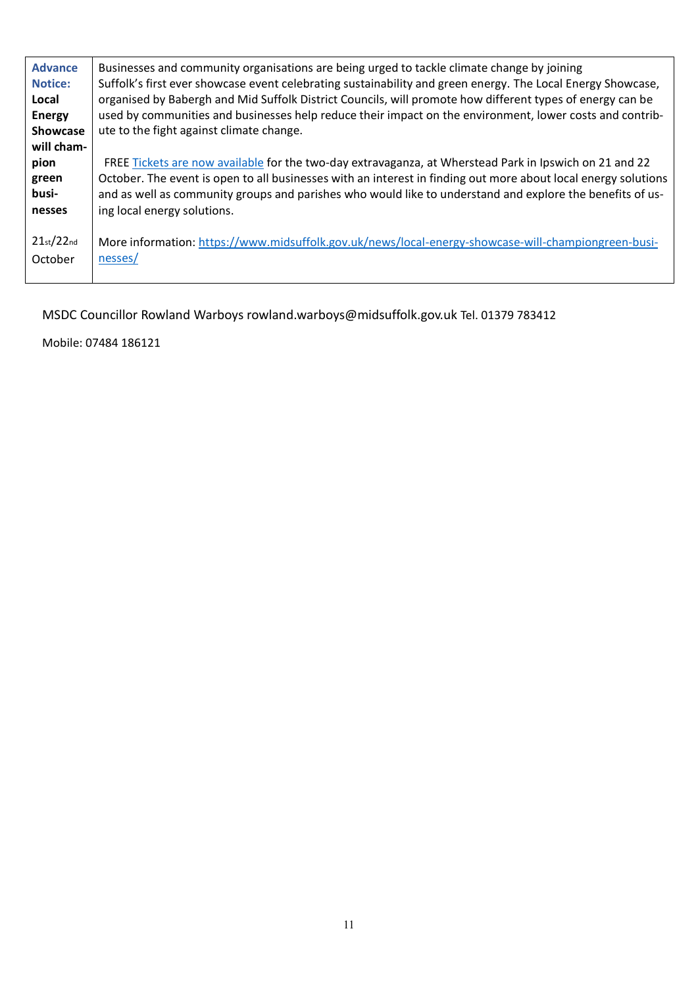| <b>Advance</b><br><b>Notice:</b><br>Local<br><b>Energy</b><br><b>Showcase</b><br>will cham- | Businesses and community organisations are being urged to tackle climate change by joining<br>Suffolk's first ever showcase event celebrating sustainability and green energy. The Local Energy Showcase,<br>organised by Babergh and Mid Suffolk District Councils, will promote how different types of energy can be<br>used by communities and businesses help reduce their impact on the environment, lower costs and contrib-<br>ute to the fight against climate change. |
|---------------------------------------------------------------------------------------------|--------------------------------------------------------------------------------------------------------------------------------------------------------------------------------------------------------------------------------------------------------------------------------------------------------------------------------------------------------------------------------------------------------------------------------------------------------------------------------|
| pion                                                                                        | FREE Tickets are now available for the two-day extravaganza, at Wherstead Park in Ipswich on 21 and 22                                                                                                                                                                                                                                                                                                                                                                         |
| green                                                                                       | October. The event is open to all businesses with an interest in finding out more about local energy solutions                                                                                                                                                                                                                                                                                                                                                                 |
| busi-                                                                                       | and as well as community groups and parishes who would like to understand and explore the benefits of us-                                                                                                                                                                                                                                                                                                                                                                      |
| nesses                                                                                      | ing local energy solutions.                                                                                                                                                                                                                                                                                                                                                                                                                                                    |
| 21st/22nd                                                                                   | More information: https://www.midsuffolk.gov.uk/news/local-energy-showcase-will-championgreen-busi-                                                                                                                                                                                                                                                                                                                                                                            |
| October                                                                                     | nesses/                                                                                                                                                                                                                                                                                                                                                                                                                                                                        |

MSDC Councillor Rowland Warboys rowland.warboys@midsuffolk.gov.uk Tel. 01379 783412

Mobile: 07484 186121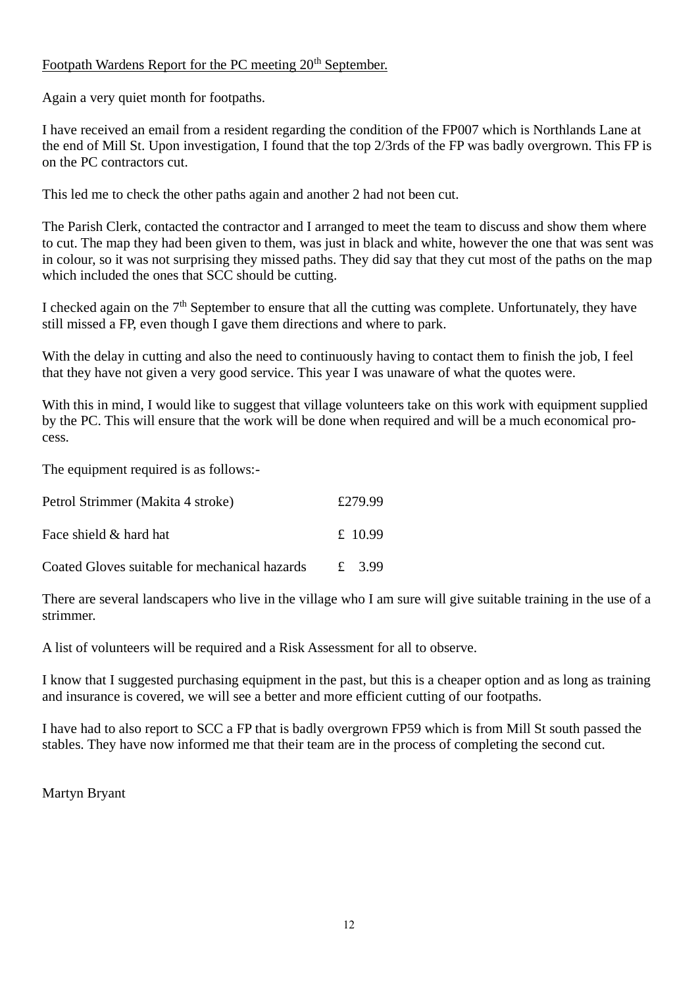# Footpath Wardens Report for the PC meeting 20<sup>th</sup> September.

Again a very quiet month for footpaths.

I have received an email from a resident regarding the condition of the FP007 which is Northlands Lane at the end of Mill St. Upon investigation, I found that the top 2/3rds of the FP was badly overgrown. This FP is on the PC contractors cut.

This led me to check the other paths again and another 2 had not been cut.

The Parish Clerk, contacted the contractor and I arranged to meet the team to discuss and show them where to cut. The map they had been given to them, was just in black and white, however the one that was sent was in colour, so it was not surprising they missed paths. They did say that they cut most of the paths on the map which included the ones that SCC should be cutting.

I checked again on the  $7<sup>th</sup>$  September to ensure that all the cutting was complete. Unfortunately, they have still missed a FP, even though I gave them directions and where to park.

With the delay in cutting and also the need to continuously having to contact them to finish the job, I feel that they have not given a very good service. This year I was unaware of what the quotes were.

With this in mind, I would like to suggest that village volunteers take on this work with equipment supplied by the PC. This will ensure that the work will be done when required and will be a much economical process.

The equipment required is as follows:-

| Petrol Strimmer (Makita 4 stroke)             | £279.99              |
|-----------------------------------------------|----------------------|
| Face shield & hard hat                        | £ 10.99              |
| Coated Gloves suitable for mechanical hazards | $\mathbf{f}$<br>3.99 |

There are several landscapers who live in the village who I am sure will give suitable training in the use of a strimmer.

A list of volunteers will be required and a Risk Assessment for all to observe.

I know that I suggested purchasing equipment in the past, but this is a cheaper option and as long as training and insurance is covered, we will see a better and more efficient cutting of our footpaths.

I have had to also report to SCC a FP that is badly overgrown FP59 which is from Mill St south passed the stables. They have now informed me that their team are in the process of completing the second cut.

Martyn Bryant